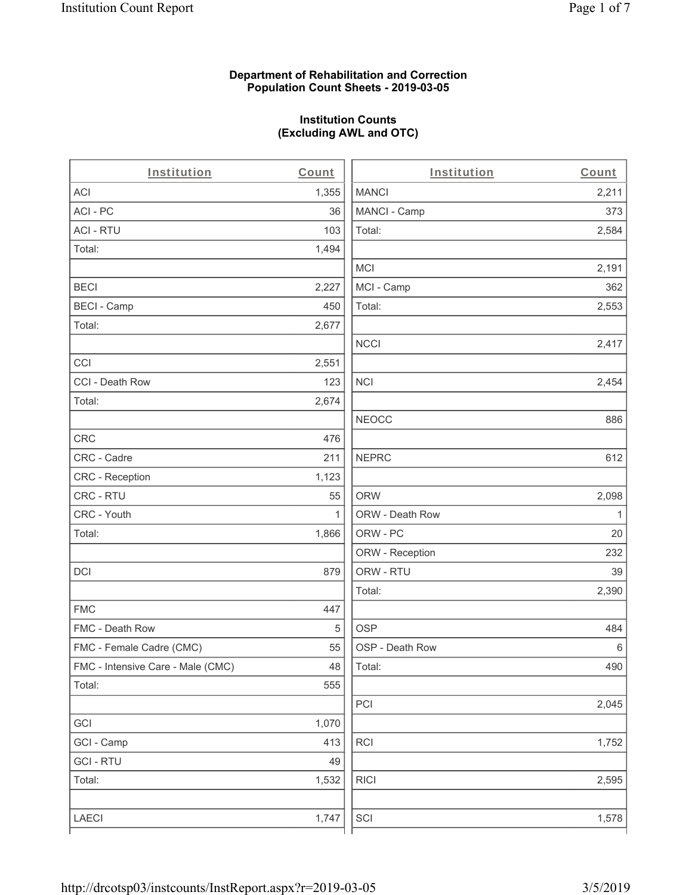### **Department of Rehabilitation and Correction Population Count Sheets - 2019-03-05**

# **Institution Counts (Excluding AWL and OTC)**

 $\overline{a}$ 

| Institution                       | Count        | Institution     | Count        |
|-----------------------------------|--------------|-----------------|--------------|
| ACI                               | 1,355        | <b>MANCI</b>    | 2,211        |
| ACI-PC                            | 36           | MANCI - Camp    | 373          |
| <b>ACI - RTU</b>                  | 103          | Total:          | 2,584        |
| Total:                            | 1,494        |                 |              |
|                                   |              | <b>MCI</b>      | 2,191        |
| <b>BECI</b>                       | 2,227        | MCI - Camp      | 362          |
| <b>BECI - Camp</b>                | 450          | Total:          | 2,553        |
| Total:                            | 2,677        |                 |              |
|                                   |              | <b>NCCI</b>     | 2,417        |
| CCI                               | 2,551        |                 |              |
| CCI - Death Row                   | 123          | $\sf NCI$       | 2,454        |
| Total:                            | 2,674        |                 |              |
|                                   |              | <b>NEOCC</b>    | 886          |
| <b>CRC</b>                        | 476          |                 |              |
| CRC - Cadre                       | 211          | <b>NEPRC</b>    | 612          |
| CRC - Reception                   | 1,123        |                 |              |
| CRC - RTU                         | 55           | <b>ORW</b>      | 2,098        |
| CRC - Youth                       | $\mathbf{1}$ | ORW - Death Row | $\mathbf{1}$ |
| Total:                            | 1,866        | ORW - PC        | 20           |
|                                   |              | ORW - Reception | 232          |
| DCI                               | 879          | ORW - RTU       | 39           |
|                                   |              | Total:          | 2,390        |
| <b>FMC</b>                        | 447          |                 |              |
| FMC - Death Row                   | 5            | <b>OSP</b>      | 484          |
| FMC - Female Cadre (CMC)          | 55           | OSP - Death Row | 6            |
| FMC - Intensive Care - Male (CMC) | 48           | Total:          | 490          |
| Total:                            | 555          |                 |              |
|                                   |              | PCI             | 2,045        |
| GCI                               | 1,070        |                 |              |
| GCI - Camp                        | 413          | RCI             | 1,752        |
| <b>GCI - RTU</b>                  | 49           |                 |              |
| Total:                            | 1,532        | <b>RICI</b>     | 2,595        |
|                                   |              |                 |              |
| LAECI                             | 1,747        | SCI             | 1,578        |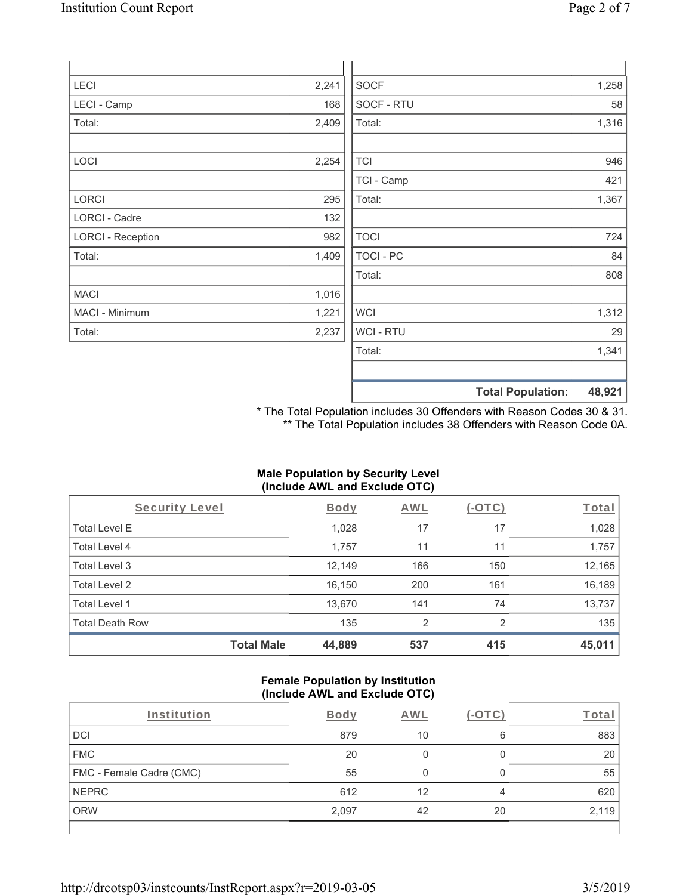| LECI                     | 2,241 | <b>SOCF</b>      | 1,258 |
|--------------------------|-------|------------------|-------|
| LECI - Camp              | 168   | SOCF - RTU       | 58    |
| Total:                   | 2,409 | Total:           | 1,316 |
|                          |       |                  |       |
| LOCI                     | 2,254 | <b>TCI</b>       | 946   |
|                          |       | TCI - Camp       | 421   |
| LORCI                    | 295   | Total:           | 1,367 |
| <b>LORCI - Cadre</b>     | 132   |                  |       |
| <b>LORCI - Reception</b> | 982   | <b>TOCI</b>      | 724   |
| Total:                   | 1,409 | <b>TOCI - PC</b> | 84    |
|                          |       | Total:           | 808   |
| <b>MACI</b>              | 1,016 |                  |       |
| MACI - Minimum           | 1,221 | <b>WCI</b>       | 1,312 |
| Total:                   | 2,237 | WCI - RTU        | 29    |
|                          |       | Total:           | 1,341 |
|                          |       |                  |       |

\* The Total Population includes 30 Offenders with Reason Codes 30 & 31. \*\* The Total Population includes 38 Offenders with Reason Code 0A.

**Total Population: 48,921**

# **Male Population by Security Level (Include AWL and Exclude OTC)**

| Security Level         |                   | <b>Body</b> | <b>AWL</b> | (-OTC)         | <u>Total</u> |
|------------------------|-------------------|-------------|------------|----------------|--------------|
| <b>Total Level E</b>   |                   | 1,028       | 17         | 17             | 1,028        |
| Total Level 4          |                   | 1,757       | 11         | 11             | 1,757        |
| Total Level 3          |                   | 12,149      | 166        | 150            | 12,165       |
| Total Level 2          |                   | 16,150      | 200        | 161            | 16,189       |
| Total Level 1          |                   | 13,670      | 141        | 74             | 13,737       |
| <b>Total Death Row</b> |                   | 135         | 2          | $\mathfrak{p}$ | 135          |
|                        | <b>Total Male</b> | 44,889      | 537        | 415            | 45,011       |

#### **Female Population by Institution (Include AWL and Exclude OTC)**

| Institution              | <b>Body</b> | AWI |    | <u>rotai</u> |
|--------------------------|-------------|-----|----|--------------|
| DCI                      | 879         | 10  | 6  | 883          |
| <b>FMC</b>               | 20          |     |    | 20           |
| FMC - Female Cadre (CMC) | 55          |     |    | 55           |
| <b>NEPRC</b>             | 612         | 12  | 4  | 620          |
| <b>ORW</b>               | 2,097       | 42  | 20 | 2,119        |
|                          |             |     |    |              |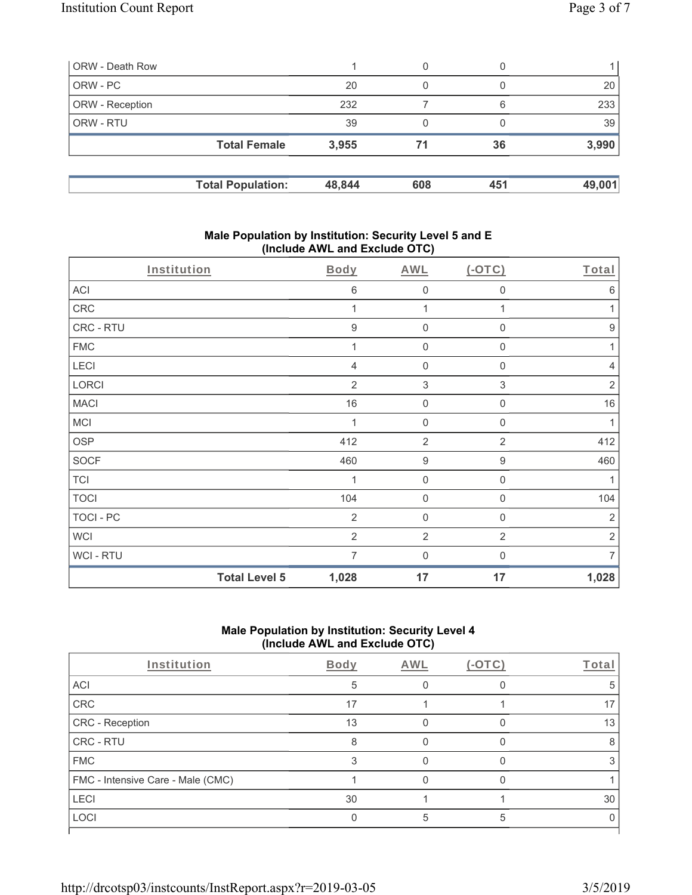| ORW - Death Row        |                          |        | 0   | O   |        |
|------------------------|--------------------------|--------|-----|-----|--------|
| ORW - PC               |                          | 20     | 0   |     | 20     |
| <b>ORW</b> - Reception |                          | 232    |     | 6   | 233    |
| <b>ORW - RTU</b>       |                          | 39     | 0   |     | 39     |
|                        | <b>Total Female</b>      | 3,955  | 71  | 36  | 3,990  |
|                        | <b>Total Population:</b> | 48,844 | 608 | 451 | 49,001 |

### **Male Population by Institution: Security Level 5 and E (Include AWL and Exclude OTC)**

| Institution |                      | Body             | <b>AWL</b>          | $(-OTC)$                  | Total            |
|-------------|----------------------|------------------|---------------------|---------------------------|------------------|
| ACI         |                      | $\,6$            | $\mathbf 0$         | 0                         | $6\,$            |
| CRC         |                      | 1                | 1                   | 1                         | 1                |
| CRC - RTU   |                      | $\boldsymbol{9}$ | $\mathbf 0$         | $\boldsymbol{0}$          | $\boldsymbol{9}$ |
| <b>FMC</b>  |                      | 1                | $\mathbf 0$         | $\mathbf 0$               | 1                |
| LECI        |                      | 4                | $\mathbf 0$         | $\mathbf 0$               | $\overline{4}$   |
| LORCI       |                      | $\overline{2}$   | $\sqrt{3}$          | $\ensuremath{\mathsf{3}}$ | $\sqrt{2}$       |
| <b>MACI</b> |                      | 16               | $\mathsf{O}\xspace$ | $\mathbf 0$               | 16               |
| MCI         |                      | 1                | $\boldsymbol{0}$    | $\boldsymbol{0}$          | 1                |
| <b>OSP</b>  |                      | 412              | $\overline{2}$      | $\overline{2}$            | 412              |
| SOCF        |                      | 460              | $\boldsymbol{9}$    | $\boldsymbol{9}$          | 460              |
| <b>TCI</b>  |                      | 1                | $\boldsymbol{0}$    | $\boldsymbol{0}$          | 1                |
| <b>TOCI</b> |                      | 104              | $\boldsymbol{0}$    | $\boldsymbol{0}$          | 104              |
| TOCI - PC   |                      | $\overline{2}$   | $\mathbf 0$         | $\mathbf 0$               | $\overline{2}$   |
| WCI         |                      | $\overline{2}$   | $\overline{2}$      | $\overline{2}$            | $\sqrt{2}$       |
| WCI - RTU   |                      | 7                | $\mathbf 0$         | 0                         | $\overline{7}$   |
|             | <b>Total Level 5</b> | 1,028            | 17                  | 17                        | 1,028            |

# **Male Population by Institution: Security Level 4 (Include AWL and Exclude OTC)**

| Institution                       | Body | AWL | Total |
|-----------------------------------|------|-----|-------|
| ACI                               | 5    |     |       |
| CRC                               | 17   |     | 17    |
| CRC - Reception                   | 13   |     | 13    |
| CRC - RTU                         | 8    |     |       |
| <b>FMC</b>                        |      |     |       |
| FMC - Intensive Care - Male (CMC) |      |     |       |
| <b>LECI</b>                       | 30   |     | 30    |
| LOCI                              |      |     |       |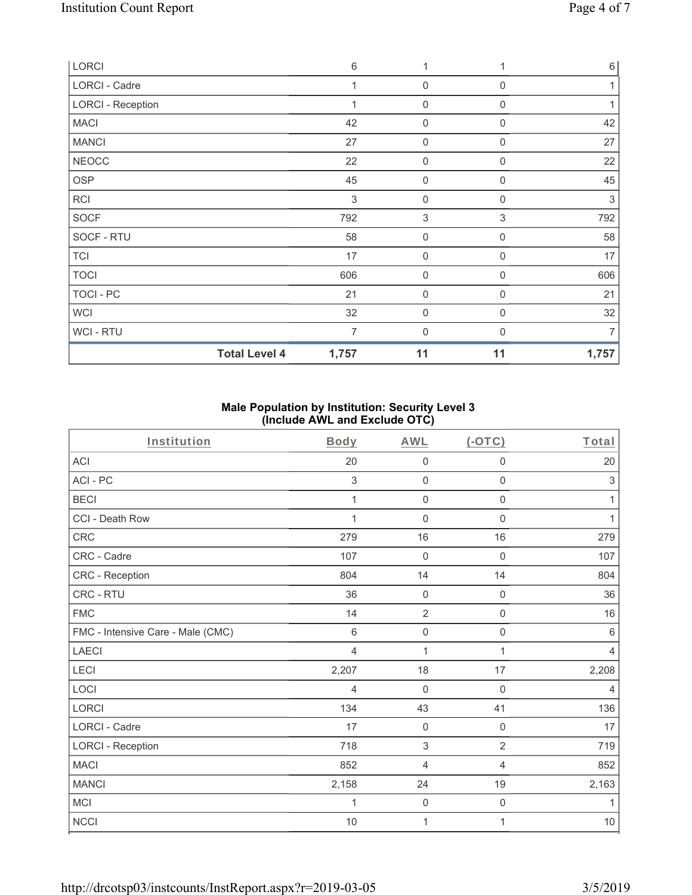| <b>LORCI</b>             | 6              | 1                |             | $6\,$      |
|--------------------------|----------------|------------------|-------------|------------|
| LORCI - Cadre            | 1              | $\overline{0}$   | $\mathbf 0$ | 1          |
| <b>LORCI - Reception</b> | 1              | $\mathbf 0$      | $\Omega$    |            |
| <b>MACI</b>              | 42             | 0                | 0           | 42         |
| <b>MANCI</b>             | 27             | $\mathbf 0$      | $\mathbf 0$ | 27         |
| <b>NEOCC</b>             | 22             | 0                | 0           | 22         |
| <b>OSP</b>               | 45             | $\mathbf 0$      | 0           | 45         |
| <b>RCI</b>               | $\sqrt{3}$     | $\mathbf 0$      | 0           | $\sqrt{3}$ |
| <b>SOCF</b>              | 792            | $\sqrt{3}$       | 3           | 792        |
| SOCF - RTU               | 58             | $\boldsymbol{0}$ | 0           | 58         |
| <b>TCI</b>               | 17             | 0                | $\mathbf 0$ | 17         |
| <b>TOCI</b>              | 606            | $\mathbf 0$      | $\Omega$    | 606        |
| TOCI - PC                | 21             | $\boldsymbol{0}$ | 0           | 21         |
| <b>WCI</b>               | 32             | 0                | $\mathbf 0$ | 32         |
| WCI - RTU                | $\overline{7}$ | $\mathbf 0$      | $\Omega$    | 7          |
| <b>Total Level 4</b>     | 1,757          | 11               | 11          | 1,757      |

### **Male Population by Institution: Security Level 3 (Include AWL and Exclude OTC)**

| Institution                       | Body        | <b>AWL</b>          | $($ -OTC $)$        | Total                     |
|-----------------------------------|-------------|---------------------|---------------------|---------------------------|
| <b>ACI</b>                        | 20          | $\boldsymbol{0}$    | $\boldsymbol{0}$    | 20                        |
| ACI - PC                          | 3           | $\mathbf 0$         | $\mathsf{O}\xspace$ | $\ensuremath{\mathsf{3}}$ |
| <b>BECI</b>                       | 1           | $\mathbf 0$         | $\mathbf 0$         | 1                         |
| CCI - Death Row                   | 1           | $\mathsf{O}\xspace$ | $\mathsf{O}\xspace$ | 1                         |
| <b>CRC</b>                        | 279         | 16                  | 16                  | 279                       |
| CRC - Cadre                       | 107         | $\mathbf 0$         | $\mathbf 0$         | 107                       |
| CRC - Reception                   | 804         | 14                  | 14                  | 804                       |
| CRC - RTU                         | 36          | $\mathbf 0$         | $\mathbf 0$         | 36                        |
| <b>FMC</b>                        | 14          | $\overline{2}$      | 0                   | 16                        |
| FMC - Intensive Care - Male (CMC) | $\,6\,$     | $\mathsf{O}\xspace$ | $\mathsf{O}\xspace$ | $\,6\,$                   |
| <b>LAECI</b>                      | 4           | 1                   | 1                   | $\overline{4}$            |
| LECI                              | 2,207       | 18                  | 17                  | 2,208                     |
| LOCI                              | 4           | $\mathbf 0$         | $\mathbf 0$         | $\overline{4}$            |
| <b>LORCI</b>                      | 134         | 43                  | 41                  | 136                       |
| LORCI - Cadre                     | 17          | $\mathsf{O}\xspace$ | $\mathsf{O}\xspace$ | 17                        |
| <b>LORCI - Reception</b>          | 718         | $\sqrt{3}$          | $\overline{2}$      | 719                       |
| <b>MACI</b>                       | 852         | $\overline{4}$      | $\overline{4}$      | 852                       |
| <b>MANCI</b>                      | 2,158       | 24                  | 19                  | 2,163                     |
| MCI                               | $\mathbf 1$ | $\mathbf 0$         | $\mathsf{O}\xspace$ | 1                         |
| <b>NCCI</b>                       | $10$        | 1                   | 1                   | $10$                      |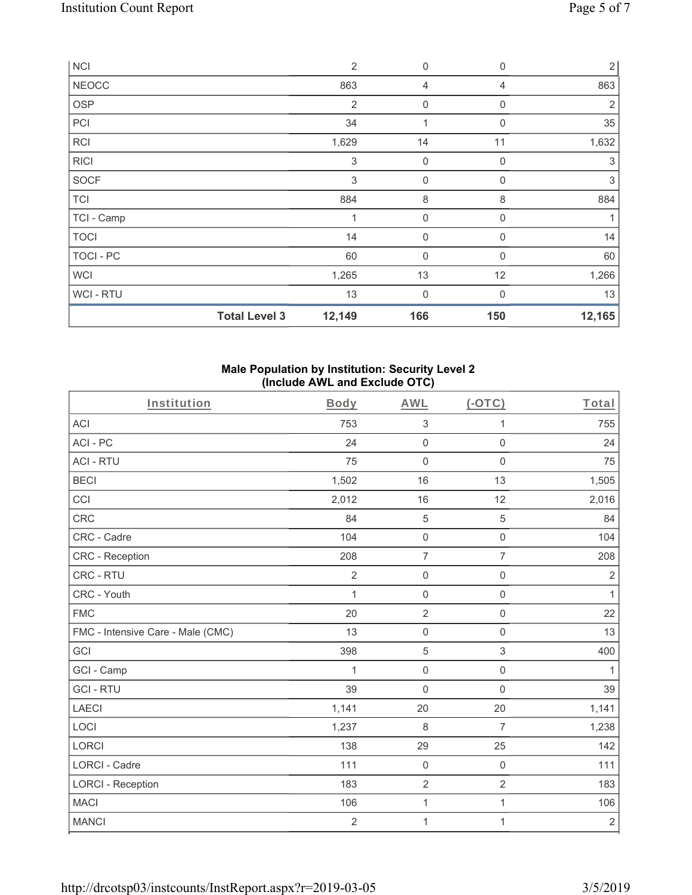| <b>NCI</b>       |                      | $\overline{2}$ | $\mathbf 0$ | 0           | $\overline{2}$ |
|------------------|----------------------|----------------|-------------|-------------|----------------|
| <b>NEOCC</b>     |                      | 863            | 4           | 4           | 863            |
| <b>OSP</b>       |                      | $\overline{2}$ | $\mathbf 0$ | 0           | $\overline{2}$ |
| PCI              |                      | 34             | 1           | 0           | 35             |
| RCI              |                      | 1,629          | 14          | 11          | 1,632          |
| <b>RICI</b>      |                      | $\sqrt{3}$     | $\mathbf 0$ | 0           | $\sqrt{3}$     |
| SOCF             |                      | 3              | $\mathbf 0$ | 0           | 3              |
| <b>TCI</b>       |                      | 884            | 8           | 8           | 884            |
| TCI - Camp       |                      | 1              | $\mathbf 0$ | 0           | 1              |
| <b>TOCI</b>      |                      | 14             | $\mathbf 0$ | 0           | 14             |
| <b>TOCI - PC</b> |                      | 60             | $\mathbf 0$ | $\mathbf 0$ | 60             |
| <b>WCI</b>       |                      | 1,265          | 13          | 12          | 1,266          |
| WCI - RTU        |                      | 13             | $\mathbf 0$ | 0           | 13             |
|                  | <b>Total Level 3</b> | 12,149         | 166         | 150         | 12,165         |

### **Male Population by Institution: Security Level 2 (Include AWL and Exclude OTC)**

| Institution                       | Body           | <b>AWL</b>          | $($ -OTC $)$        | Total          |
|-----------------------------------|----------------|---------------------|---------------------|----------------|
| ACI                               | 753            | $\sqrt{3}$          | 1                   | 755            |
| ACI-PC                            | 24             | $\mathsf 0$         | $\mathsf{O}\xspace$ | 24             |
| <b>ACI - RTU</b>                  | 75             | $\mathsf 0$         | $\mathsf{O}\xspace$ | 75             |
| <b>BECI</b>                       | 1,502          | 16                  | 13                  | 1,505          |
| CCI                               | 2,012          | 16                  | 12                  | 2,016          |
| <b>CRC</b>                        | 84             | $\mathbf 5$         | $\sqrt{5}$          | 84             |
| CRC - Cadre                       | 104            | $\mathsf 0$         | $\mathbf 0$         | 104            |
| <b>CRC</b> - Reception            | 208            | $\overline{7}$      | $\overline{7}$      | 208            |
| CRC - RTU                         | $\overline{2}$ | $\mathsf{O}\xspace$ | 0                   | $\overline{2}$ |
| CRC - Youth                       | $\mathbf{1}$   | $\mathsf{O}\xspace$ | 0                   | $\mathbf{1}$   |
| <b>FMC</b>                        | 20             | $\overline{2}$      | $\mathsf{O}\xspace$ | 22             |
| FMC - Intensive Care - Male (CMC) | 13             | $\mathsf{O}\xspace$ | 0                   | 13             |
| GCI                               | 398            | $\sqrt{5}$          | 3                   | 400            |
| GCI - Camp                        | 1              | $\mathsf 0$         | $\mathsf{O}\xspace$ | $\mathbf{1}$   |
| <b>GCI-RTU</b>                    | 39             | $\mathbf 0$         | $\mathbf 0$         | 39             |
| <b>LAECI</b>                      | 1,141          | 20                  | 20                  | 1,141          |
| LOCI                              | 1,237          | $\,8\,$             | 7                   | 1,238          |
| <b>LORCI</b>                      | 138            | 29                  | 25                  | 142            |
| LORCI - Cadre                     | 111            | $\mathsf{O}\xspace$ | $\mathsf 0$         | 111            |
| <b>LORCI - Reception</b>          | 183            | $\overline{2}$      | $\overline{2}$      | 183            |
| <b>MACI</b>                       | 106            | $\mathbf 1$         | $\mathbf{1}$        | 106            |
| <b>MANCI</b>                      | $\overline{2}$ | 1                   | 1                   | $\sqrt{2}$     |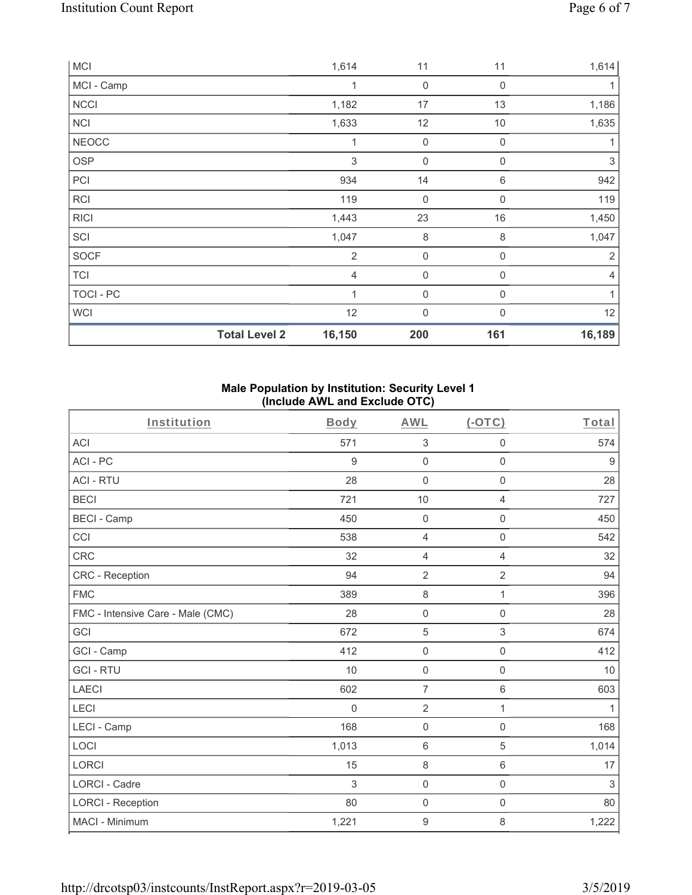|              | <b>Total Level 2</b> | 16,150         | 200         | 161         | 16,189         |
|--------------|----------------------|----------------|-------------|-------------|----------------|
| <b>WCI</b>   |                      | 12             | $\mathbf 0$ | $\mathbf 0$ | 12             |
| TOCI - PC    |                      | $\mathbf{1}$   | $\mathbf 0$ | $\mathbf 0$ | 1              |
| <b>TCI</b>   |                      | $\overline{4}$ | $\mathbf 0$ | 0           | $\overline{4}$ |
| SOCF         |                      | $\overline{2}$ | $\mathbf 0$ | 0           | $\overline{2}$ |
| SCI          |                      | 1,047          | $\,8\,$     | 8           | 1,047          |
| <b>RICI</b>  |                      | 1,443          | 23          | 16          | 1,450          |
| <b>RCI</b>   |                      | 119            | $\mathbf 0$ | 0           | 119            |
| PCI          |                      | 934            | 14          | 6           | 942            |
| OSP          |                      | $\,$ 3 $\,$    | $\mathbf 0$ | 0           | $\sqrt{3}$     |
| <b>NEOCC</b> |                      | 1              | $\mathbf 0$ | $\mathbf 0$ |                |
| <b>NCI</b>   |                      | 1,633          | 12          | 10          | 1,635          |
| <b>NCCI</b>  |                      | 1,182          | 17          | 13          | 1,186          |
| MCI - Camp   |                      | 1              | $\mathbf 0$ | $\mathbf 0$ | 1              |
| <b>MCI</b>   |                      | 1,614          | 11          | 11          | 1,614          |

### **Male Population by Institution: Security Level 1 (Include AWL and Exclude OTC)**

| Institution                       | Body     | <b>AWL</b>          | (OTC)               | Total      |
|-----------------------------------|----------|---------------------|---------------------|------------|
| <b>ACI</b>                        | 571      | $\sqrt{3}$          | $\mathsf{O}\xspace$ | 574        |
| ACI-PC                            | 9        | $\mathbf 0$         | $\mathbf 0$         | 9          |
| <b>ACI - RTU</b>                  | 28       | $\mathbf 0$         | $\mathbf 0$         | 28         |
| <b>BECI</b>                       | 721      | 10                  | $\overline{4}$      | 727        |
| <b>BECI - Camp</b>                | 450      | $\mathsf{O}\xspace$ | $\boldsymbol{0}$    | 450        |
| CCI                               | 538      | $\overline{4}$      | $\mathsf 0$         | 542        |
| <b>CRC</b>                        | 32       | $\overline{4}$      | $\overline{4}$      | 32         |
| <b>CRC</b> - Reception            | 94       | $\overline{2}$      | $\overline{2}$      | 94         |
| <b>FMC</b>                        | 389      | $\,8\,$             | 1                   | 396        |
| FMC - Intensive Care - Male (CMC) | 28       | $\mathsf{O}\xspace$ | $\mathbf 0$         | 28         |
| GCI                               | 672      | $\sqrt{5}$          | $\mathfrak{S}$      | 674        |
| GCI - Camp                        | 412      | $\mathsf{O}\xspace$ | $\mathbf 0$         | 412        |
| <b>GCI-RTU</b>                    | 10       | $\mathsf{O}\xspace$ | $\mathsf{O}\xspace$ | 10         |
| <b>LAECI</b>                      | 602      | $\overline{7}$      | $\,6\,$             | 603        |
| LECI                              | $\Omega$ | $\overline{2}$      | 1                   | 1          |
| LECI - Camp                       | 168      | $\mathbf 0$         | $\mathbf 0$         | 168        |
| LOCI                              | 1,013    | $\,6\,$             | $\sqrt{5}$          | 1,014      |
| <b>LORCI</b>                      | 15       | $\,8\,$             | $\,6\,$             | 17         |
| <b>LORCI - Cadre</b>              | 3        | $\mathsf{O}\xspace$ | $\mathsf{O}\xspace$ | $\sqrt{3}$ |
| <b>LORCI - Reception</b>          | 80       | $\mathsf{O}\xspace$ | $\mathbf 0$         | 80         |
| MACI - Minimum                    | 1,221    | $\boldsymbol{9}$    | 8                   | 1,222      |